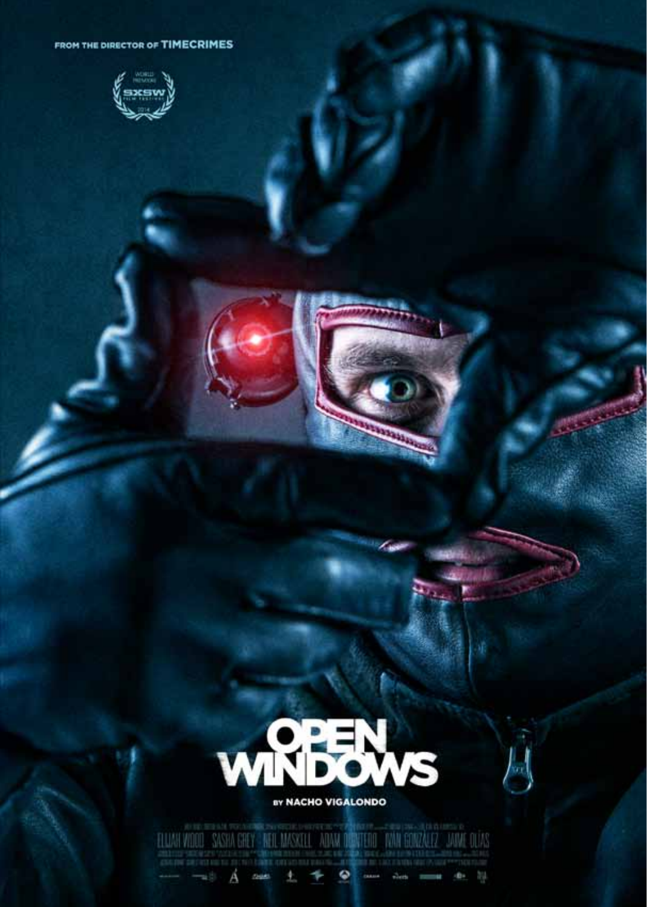#### FROM THE DIRECTOR OF TIMECRIMES





ELLAN WOOD SASHA GREY HELL MASKELL ADAM DENTERO TAN GONZALEZ JANA QUAS



冨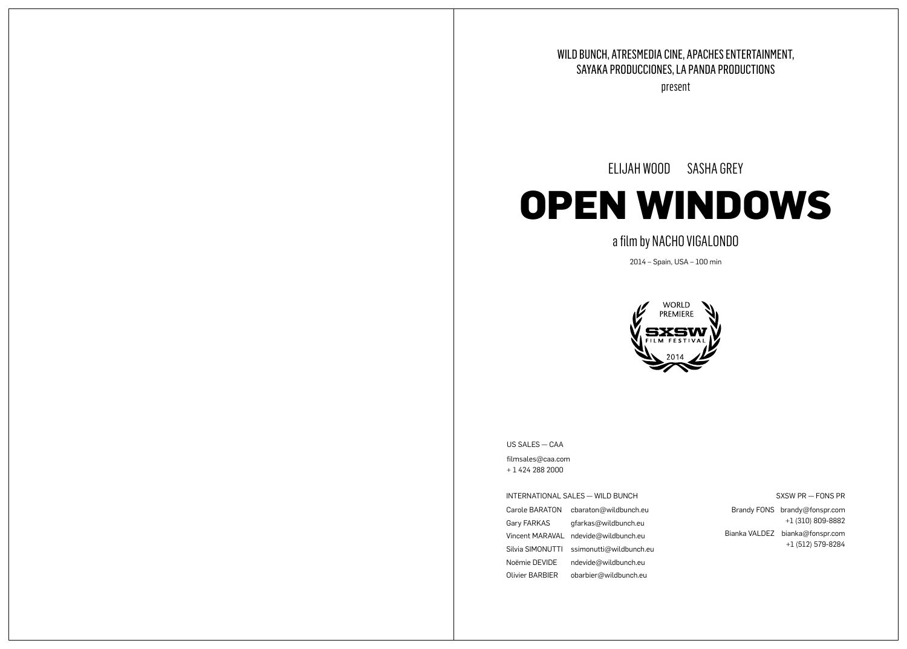WILD BUNCH, ATRESMEDIA CINE, APACHES ENTERTAINMENT, SAYAKA PRODUCCIONES, LA PANDA PRODUCTIONS present

ELIJAH WOOD SASHA GREY

# **OPEN WINDOWS**

a film by NACHO VIGALONDO

2014 – Spain, USA – 100 min



US SALES — CAA filmsales@caa.com + 1 424 288 2000

INTERNATIONAL SALES — WILD BUNCH

Carole BARATON cbaraton@wildbunch.eu Gary FARKAS gfarkas@wildbunch.eu Vincent MARAVAL ndevide@wildbunch.eu Silvia SIMONUTTI ssimonutti@wildbunch.eu Noëmie DEVIDE ndevide@wildbunch.eu Olivier BARBIER obarbier@wildbunch.eu

SXSW PR — FONS PR

Brandy FONS brandy@fonspr.com +1 (310) 809-8882 Bianka VALDEZ bianka@fonspr.com +1 (512) 579-8284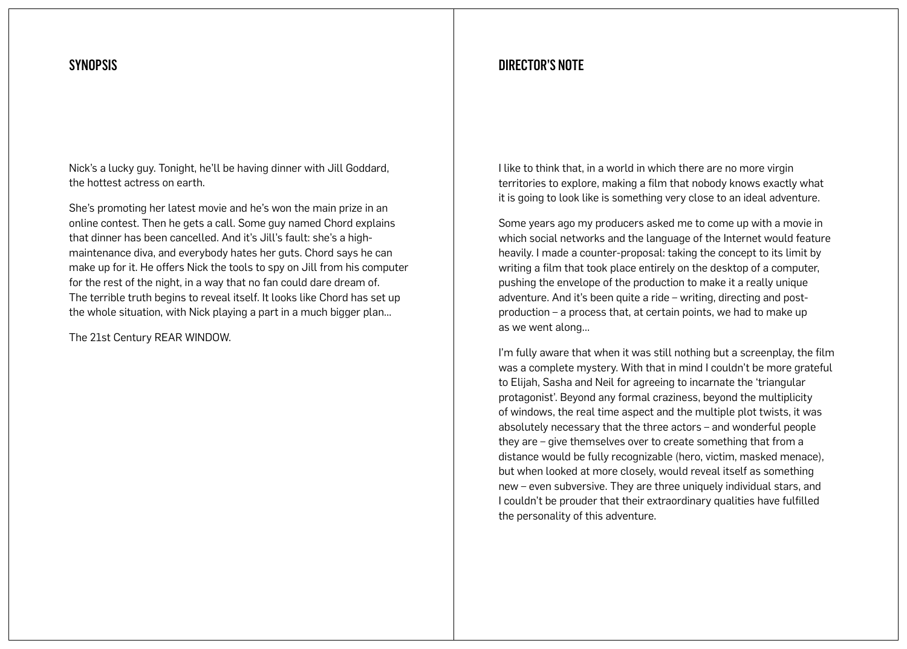#### SYNOPSIS

Nick's a lucky guy. Tonight, he'll be having dinner with Jill Goddard, the hottest actress on earth.

She's promoting her latest movie and he's won the main prize in an online contest. Then he gets a call. Some guy named Chord explains that dinner has been cancelled. And it's Jill's fault: she's a highmaintenance diva, and everybody hates her guts. Chord says he can make up for it. He offers Nick the tools to spy on Jill from his computer for the rest of the night, in a way that no fan could dare dream of. The terrible truth begins to reveal itself. It looks like Chord has set up the whole situation, with Nick playing a part in a much bigger plan...

The 21st Century REAR WINDOW.

#### DIRECTOR'S NOTE

I like to think that, in a world in which there are no more virgin territories to explore, making a film that nobody knows exactly what it is going to look like is something very close to an ideal adventure.

Some years ago my producers asked me to come up with a movie in which social networks and the language of the Internet would feature heavily. I made a counter-proposal: taking the concept to its limit by writing a film that took place entirely on the desktop of a computer, pushing the envelope of the production to make it a really unique adventure. And it's been quite a ride – writing, directing and postproduction – a process that, at certain points, we had to make up as we went along…

I'm fully aware that when it was still nothing but a screenplay, the film was a complete mystery. With that in mind I couldn't be more grateful to Elijah, Sasha and Neil for agreeing to incarnate the 'triangular protagonist'. Beyond any formal craziness, beyond the multiplicity of windows, the real time aspect and the multiple plot twists, it was absolutely necessary that the three actors – and wonderful people they are – give themselves over to create something that from a distance would be fully recognizable (hero, victim, masked menace), but when looked at more closely, would reveal itself as something new – even subversive. They are three uniquely individual stars, and I couldn't be prouder that their extraordinary qualities have fulfilled the personality of this adventure.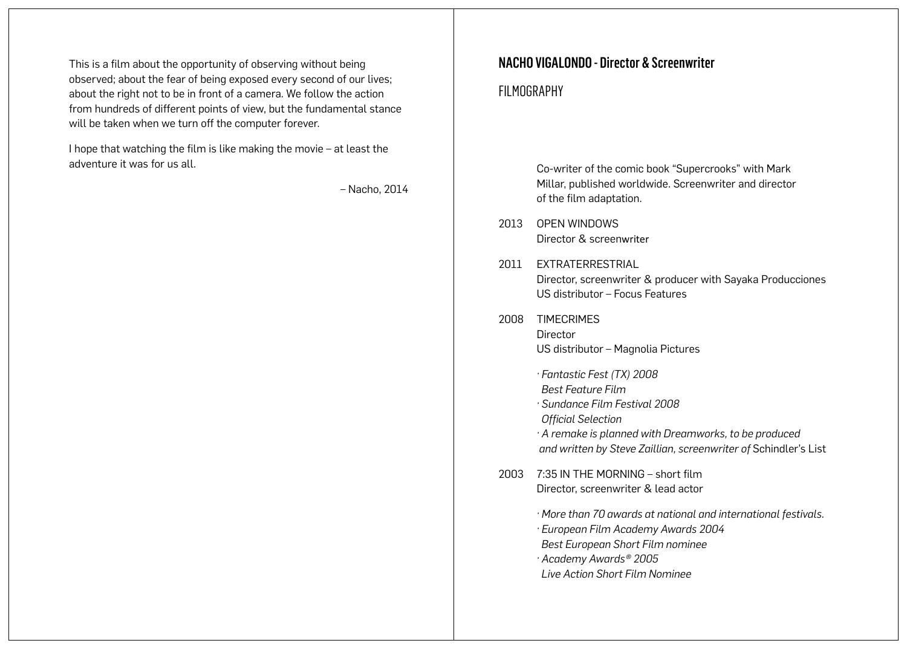This is a film about the opportunity of observing without being observed; about the fear of being exposed every second of our lives; about the right not to be in front of a camera. We follow the action from hundreds of different points of view, but the fundamental stance will be taken when we turn off the computer forever.

I hope that watching the film is like making the movie – at least the adventure it was for us all.

– Nacho, 2014

# NACHO VIGALONDO - Director & Screenwriter

#### FILMOGRAPHY

 Co-writer of the comic book "Supercrooks" with Mark Millar, published worldwide. Screenwriter and director of the film adaptation.

- 2013 Open Windows Director & screenwriter
- 2011 Extraterrestrial Director, screenwriter & producer with Sayaka Producciones US distributor – Focus Features

# 2008 Timecrimes

**Director** US distributor – Magnolia Pictures

 *· Fantastic Fest (TX) 2008 Best Feature Film · Sundance Film Festival 2008 Official Selection · A remake is planned with Dreamworks, to be produced and written by Steve Zaillian, screenwriter of* Schindler's List

2003 7:35 IN THE MORNING – short film Director, screenwriter & lead actor

> *· More than 70 awards at national and international festivals. · European Film Academy Awards 2004 Best European Short Film nominee · Academy Awards® 2005 Live Action Short Film Nominee*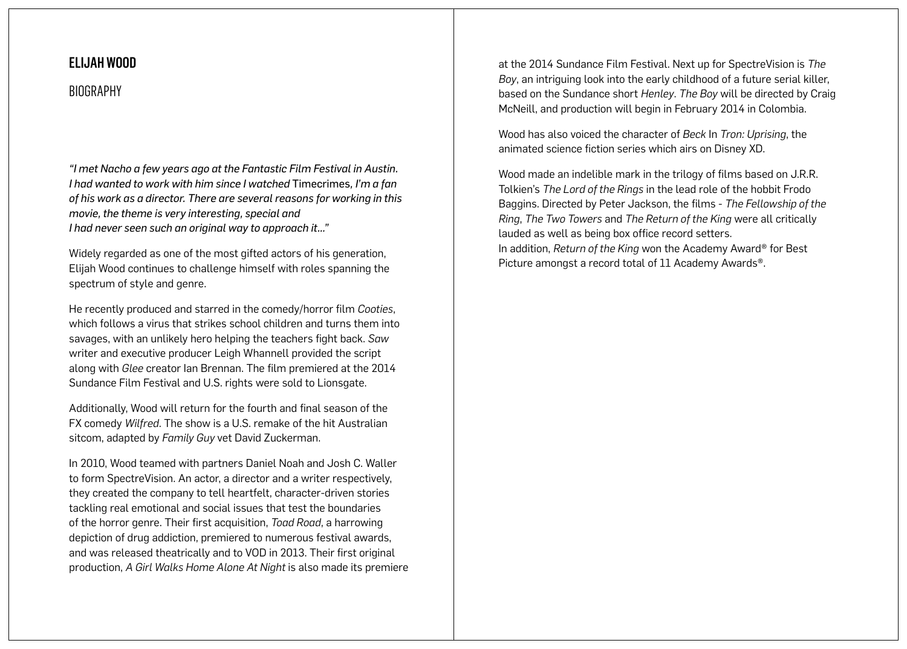### ELIJAH WOOD

#### BIOGRAPHY

*"I met Nacho a few years ago at the Fantastic Film Festival in Austin. I had wanted to work with him since I watched* Timecrimes*, I'm a fan of his work as a director. There are several reasons for working in this movie, the theme is very interesting, special and I had never seen such an original way to approach it…"*

Widely regarded as one of the most gifted actors of his generation, Elijah Wood continues to challenge himself with roles spanning the spectrum of style and genre.

He recently produced and starred in the comedy/horror film *Cooties*, which follows a virus that strikes school children and turns them into savages, with an unlikely hero helping the teachers fight back. *Saw* writer and executive producer Leigh Whannell provided the script along with *Glee* creator Ian Brennan. The film premiered at the 2014 Sundance Film Festival and U.S. rights were sold to Lionsgate.

Additionally, Wood will return for the fourth and final season of the FX comedy *Wilfred*. The show is a U.S. remake of the hit Australian sitcom, adapted by *Family Guy* vet David Zuckerman.

In 2010, Wood teamed with partners Daniel Noah and Josh C. Waller to form SpectreVision. An actor, a director and a writer respectively, they created the company to tell heartfelt, character-driven stories tackling real emotional and social issues that test the boundaries of the horror genre. Their first acquisition, *Toad Road*, a harrowing depiction of drug addiction, premiered to numerous festival awards, and was released theatrically and to VOD in 2013. Their first original production, *A Girl Walks Home Alone At Night* is also made its premiere

at the 2014 Sundance Film Festival. Next up for SpectreVision is *The Boy*, an intriguing look into the early childhood of a future serial killer, based on the Sundance short *Henley*. *The Boy* will be directed by Craig McNeill, and production will begin in February 2014 in Colombia.

Wood has also voiced the character of *Beck* In *Tron: Uprising*, the animated science fiction series which airs on Disney XD.

Wood made an indelible mark in the trilogy of films based on J.R.R. Tolkien's *The Lord of the Rings* in the lead role of the hobbit Frodo Baggins. Directed by Peter Jackson, the films - *The Fellowship of the Ring*, *The Two Towers* and *The Return of the King* were all critically lauded as well as being box office record setters. In addition, *Return of the King* won the Academy Award® for Best Picture amongst a record total of 11 Academy Awards®.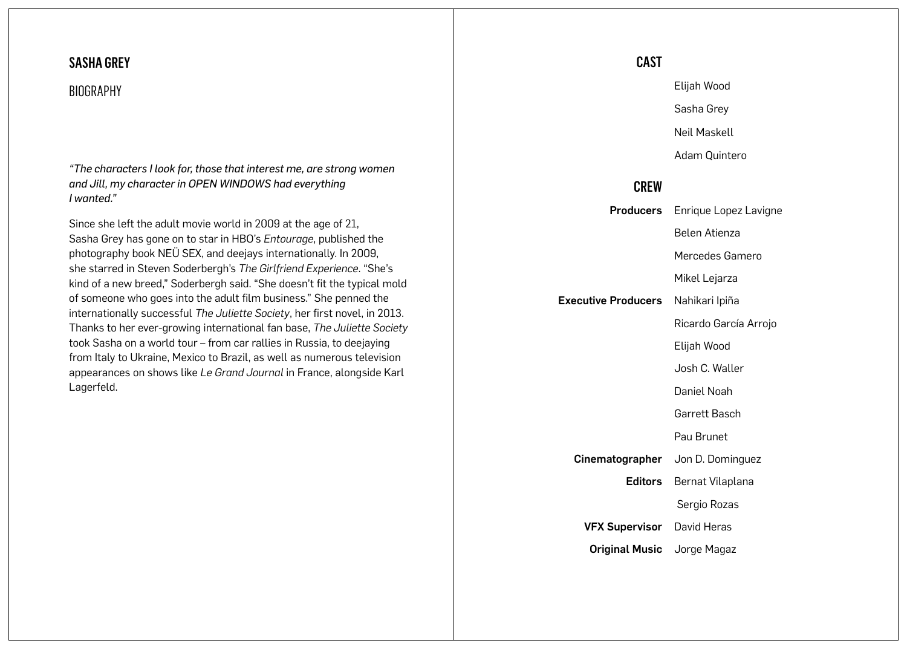# SASHA GREY

### BIOGRAPHY

*"The characters I look for, those that interest me, are strong women and Jill, my character in OPEN WINDOWS had everything I wanted."*

Since she left the adult movie world in 2009 at the age of 21, Sasha Grey has gone on to star in HBO's *Entourage*, published the photography book NEÜ SEX, and deejays internationally. In 2009, she starred in Steven Soderbergh's *The Girlfriend Experience*. "She's kind of a new breed," Soderbergh said. "She doesn't fit the typical mold of someone who goes into the adult film business." She penned the internationally successful *The Juliette Society*, her first novel, in 2013. Thanks to her ever-growing international fan base, *The Juliette Society* took Sasha on a world tour – from car rallies in Russia, to deejaying from Italy to Ukraine, Mexico to Brazil, as well as numerous television appearances on shows like *Le Grand Journal* in France, alongside Karl Lagerfeld.

#### **CAST**

Elijah Wood Sasha Grey Neil Maskell Adam Quintero

# **CREW**

| Producers                         | Enrique Lopez Lavigne |
|-----------------------------------|-----------------------|
|                                   | Belen Atienza         |
|                                   | Mercedes Gamero       |
|                                   | Mikel Lejarza         |
| <b>Executive Producers</b>        | Nahikari Ipiña        |
|                                   | Ricardo García Arrojo |
|                                   | Elijah Wood           |
|                                   | Josh C. Waller        |
|                                   | Daniel Noah           |
|                                   | Garrett Basch         |
|                                   | Pau Brunet            |
| Cinematographer                   | Jon D. Dominguez      |
| Editors                           | Bernat Vilaplana      |
|                                   | Sergio Rozas          |
| <b>VFX Supervisor</b> David Heras |                       |
| <b>Original Music</b>             | Jorge Magaz           |
|                                   |                       |